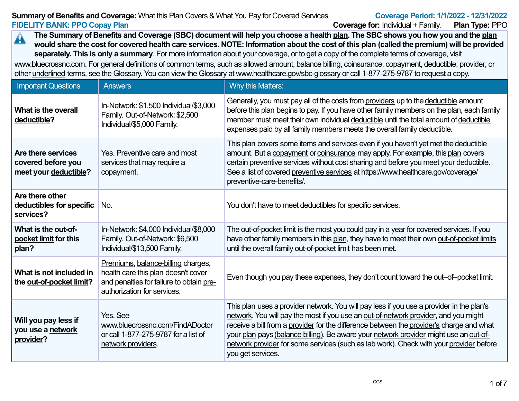#### **Summary of Benefits and Coverage:** What this Plan Covers & What You Pay for Covered Services**FIDELITY BANK: PPO Copay PlanCoverage for:** Individual + Family. **Plan Type:** PPO

Plan Type: PPO

**The Summary of Benefits and Coverage (SBC) document will help you choose a health plan. The SBC shows you how you and the plan** $\blacktriangle$  **would share the cost for covered health care services. NOTE: Information about the cost of this plan (called the premium) will be providedseparately. This is only a summary**. For more information about your coverage, or to get a copy of the complete terms of coverage, visitwww.bluecrossnc.com. For general definitions of common terms, such as allowed amount, balance billing, coinsurance, copayment, deductible, provider, or

other underlined terms, see the Glossary. You can view the Glossary at www.healthcare.gov/sbc-glossary or call 1-877-275-9787 to request a copy.

| <b>Important Questions</b>                                        | <b>Answers</b>                                                                                                                                       | <b>Why this Matters:</b>                                                                                                                                                                                                                                                                                                                                                                                                                                                            |
|-------------------------------------------------------------------|------------------------------------------------------------------------------------------------------------------------------------------------------|-------------------------------------------------------------------------------------------------------------------------------------------------------------------------------------------------------------------------------------------------------------------------------------------------------------------------------------------------------------------------------------------------------------------------------------------------------------------------------------|
| What is the overall<br>deductible?                                | In-Network: \$1,500 Individual/\$3,000<br>Family. Out-of-Network: \$2,500<br>Individual/\$5,000 Family.                                              | Generally, you must pay all of the costs from providers up to the deductible amount<br>before this plan begins to pay. If you have other family members on the plan, each family<br>member must meet their own individual deductible until the total amount of deductible<br>expenses paid by all family members meets the overall family deductible.                                                                                                                               |
| Are there services<br>covered before you<br>meet your deductible? | Yes. Preventive care and most<br>services that may require a<br>copayment.                                                                           | This plan covers some items and services even if you haven't yet met the deductible<br>amount. But a copayment or coinsurance may apply. For example, this plan covers<br>certain preventive services without cost sharing and before you meet your deductible.<br>See a list of covered preventive services at https://www.healthcare.gov/coverage/<br>preventive-care-benefits/.                                                                                                  |
| Are there other<br>deductibles for specific<br>services?          | No.                                                                                                                                                  | You don't have to meet deductibles for specific services.                                                                                                                                                                                                                                                                                                                                                                                                                           |
| What is the out-of-<br>pocket limit for this<br>plan?             | In-Network: \$4,000 Individual/\$8,000<br>Family. Out-of-Network: \$6,500<br>Individual/\$13,500 Family.                                             | The out-of-pocket limit is the most you could pay in a year for covered services. If you<br>have other family members in this plan, they have to meet their own out-of-pocket limits<br>until the overall family out-of-pocket limit has been met.                                                                                                                                                                                                                                  |
| What is not included in<br>the out-of-pocket limit?               | Premiums, balance-billing charges,<br>health care this plan doesn't cover<br>and penalties for failure to obtain pre-<br>authorization for services. | Even though you pay these expenses, they don't count toward the out-of-pocket limit.                                                                                                                                                                                                                                                                                                                                                                                                |
| Will you pay less if<br>you use a network<br>provider?            | Yes. See<br>www.bluecrossnc.com/FindADoctor<br>or call 1-877-275-9787 for a list of<br>network providers.                                            | This plan uses a provider network. You will pay less if you use a provider in the plan's<br>network. You will pay the most if you use an out-of-network provider, and you might<br>receive a bill from a provider for the difference between the provider's charge and what<br>your plan pays (balance billing). Be aware your network provider might use an out-of-<br>network provider for some services (such as lab work). Check with your provider before<br>you get services. |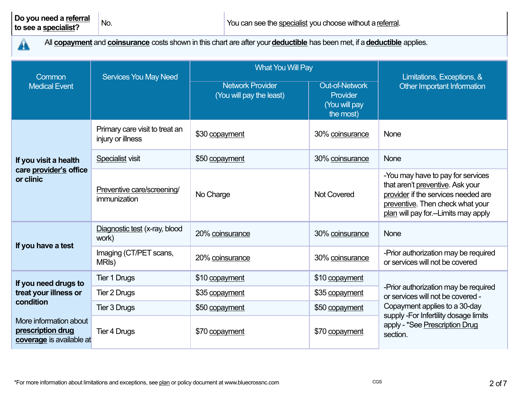$\blacktriangle$ 

All **copayment** and **coinsurance** costs shown in this chart are after your **deductible** has been met, if a **deductible** applies.

| <b>Common</b>                                                           | <b>Services You May Need</b>                        | <b>What You Will Pay</b>                            | Limitations, Exceptions, &                                      |                                                                                                                                                                                           |  |
|-------------------------------------------------------------------------|-----------------------------------------------------|-----------------------------------------------------|-----------------------------------------------------------------|-------------------------------------------------------------------------------------------------------------------------------------------------------------------------------------------|--|
| <b>Medical Event</b>                                                    |                                                     | <b>Network Provider</b><br>(You will pay the least) | <b>Out-of-Network</b><br>Provider<br>(You will pay<br>the most) | Other Important Information                                                                                                                                                               |  |
|                                                                         | Primary care visit to treat an<br>injury or illness | \$30 copayment                                      | 30% coinsurance                                                 | None                                                                                                                                                                                      |  |
| If you visit a health                                                   | Specialist visit                                    | \$50 copayment                                      | 30% coinsurance                                                 | None                                                                                                                                                                                      |  |
| care provider's office<br>or clinic                                     | Preventive care/screening/<br>immunization          | No Charge                                           | <b>Not Covered</b>                                              | -You may have to pay for services<br>that aren't preventive. Ask your<br>provider if the services needed are<br>preventive. Then check what your<br>plan will pay for -- Limits may apply |  |
| If you have a test                                                      | Diagnostic test (x-ray, blood<br>work)              | 20% coinsurance                                     | 30% coinsurance                                                 | None                                                                                                                                                                                      |  |
|                                                                         | Imaging (CT/PET scans,<br>MRI <sub>s</sub> )        | 20% coinsurance                                     | 30% coinsurance                                                 | -Prior authorization may be required<br>or services will not be covered                                                                                                                   |  |
| If you need drugs to<br>treat your illness or<br>condition              | Tier 1 Drugs                                        | \$10 copayment                                      | \$10 copayment                                                  |                                                                                                                                                                                           |  |
|                                                                         | Tier 2 Drugs                                        | \$35 copayment                                      |                                                                 | -Prior authorization may be required<br>or services will not be covered -                                                                                                                 |  |
|                                                                         | <b>Tier 3 Drugs</b>                                 | \$50 copayment<br>\$50 copayment                    |                                                                 | Copayment applies to a 30-day<br>supply -For Infertility dosage limits                                                                                                                    |  |
| More information about<br>prescription drug<br>coverage is available at | <b>Tier 4 Drugs</b>                                 | \$70 copayment                                      | \$70 copayment                                                  | apply - *See Prescription Drug<br>section.                                                                                                                                                |  |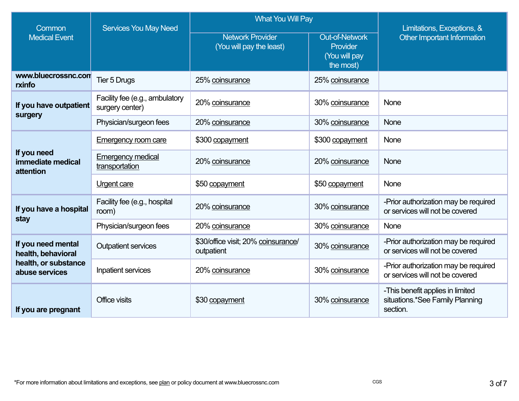| Common                                                                             | <b>Services You May Need</b>                      | <b>What You Will Pay</b>                            | Limitations, Exceptions, &                                      |                                                                                 |  |
|------------------------------------------------------------------------------------|---------------------------------------------------|-----------------------------------------------------|-----------------------------------------------------------------|---------------------------------------------------------------------------------|--|
| <b>Medical Event</b>                                                               |                                                   | <b>Network Provider</b><br>(You will pay the least) | <b>Out-of-Network</b><br>Provider<br>(You will pay<br>the most) | Other Important Information                                                     |  |
| www.bluecrossnc.com<br>rxinfo                                                      | <b>Tier 5 Drugs</b>                               | 25% coinsurance                                     | 25% coinsurance                                                 |                                                                                 |  |
| If you have outpatient<br>surgery                                                  | Facility fee (e.g., ambulatory<br>surgery center) | 20% coinsurance                                     | 30% coinsurance                                                 | <b>None</b>                                                                     |  |
|                                                                                    | Physician/surgeon fees                            | 20% coinsurance                                     | 30% coinsurance                                                 | <b>None</b>                                                                     |  |
|                                                                                    | <b>Emergency room care</b>                        | \$300 copayment                                     | \$300 copayment                                                 | None                                                                            |  |
| If you need<br>immediate medical<br>attention                                      | <b>Emergency medical</b><br>transportation        | 20% coinsurance                                     | 20% coinsurance                                                 | <b>None</b>                                                                     |  |
|                                                                                    | <b>Urgent care</b>                                | \$50 copayment                                      | \$50 copayment                                                  | None                                                                            |  |
| If you have a hospital<br>stay                                                     | Facility fee (e.g., hospital<br>room)             | 20% coinsurance                                     | 30% coinsurance                                                 | -Prior authorization may be required<br>or services will not be covered         |  |
|                                                                                    | Physician/surgeon fees                            | 20% coinsurance                                     | 30% coinsurance                                                 | <b>None</b>                                                                     |  |
| If you need mental<br>health, behavioral<br>health, or substance<br>abuse services | <b>Outpatient services</b>                        | \$30/office visit; 20% coinsurance/<br>outpatient   | 30% coinsurance                                                 | -Prior authorization may be required<br>or services will not be covered         |  |
|                                                                                    | Inpatient services                                | 20% coinsurance                                     | 30% coinsurance                                                 | -Prior authorization may be required<br>or services will not be covered         |  |
| If you are pregnant                                                                | Office visits                                     | \$30 copayment                                      | 30% coinsurance                                                 | -This benefit applies in limited<br>situations.*See Family Planning<br>section. |  |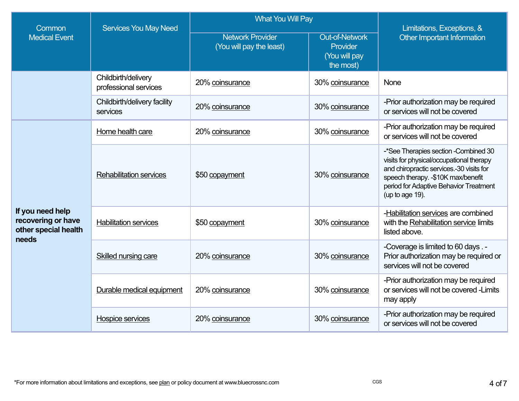| Common                                                                  | <b>Services You May Need</b>                     | <b>What You Will Pay</b>                            | Limitations, Exceptions, &                                      |                                                                                                                                                                                                                                  |
|-------------------------------------------------------------------------|--------------------------------------------------|-----------------------------------------------------|-----------------------------------------------------------------|----------------------------------------------------------------------------------------------------------------------------------------------------------------------------------------------------------------------------------|
| <b>Medical Event</b>                                                    |                                                  | <b>Network Provider</b><br>(You will pay the least) | <b>Out-of-Network</b><br>Provider<br>(You will pay<br>the most) | Other Important Information                                                                                                                                                                                                      |
|                                                                         | Childbirth/delivery<br>professional services     | 20% coinsurance                                     | 30% coinsurance                                                 | None                                                                                                                                                                                                                             |
|                                                                         | Childbirth/delivery facility<br>services         | 20% coinsurance                                     | 30% coinsurance                                                 | -Prior authorization may be required<br>or services will not be covered                                                                                                                                                          |
| If you need help<br>recovering or have<br>other special health<br>needs | Home health care                                 | 20% coinsurance                                     | 30% coinsurance                                                 | -Prior authorization may be required<br>or services will not be covered                                                                                                                                                          |
|                                                                         | <b>Rehabilitation services</b><br>\$50 copayment |                                                     | 30% coinsurance                                                 | -*See Therapies section - Combined 30<br>visits for physical/occupational therapy<br>and chiropractic services.-30 visits for<br>speech therapy. -\$10K max/benefit<br>period for Adaptive Behavior Treatment<br>(up to age 19). |
|                                                                         | <b>Habilitation services</b>                     | \$50 copayment                                      | 30% coinsurance                                                 | -Habilitation services are combined<br>with the Rehabilitation service limits<br>listed above.                                                                                                                                   |
|                                                                         | Skilled nursing care                             | 20% coinsurance                                     | 30% coinsurance                                                 | -Coverage is limited to 60 days .-<br>Prior authorization may be required or<br>services will not be covered                                                                                                                     |
|                                                                         | Durable medical equipment                        | 20% coinsurance                                     | 30% coinsurance                                                 | -Prior authorization may be required<br>or services will not be covered -Limits<br>may apply                                                                                                                                     |
|                                                                         | <b>Hospice services</b>                          | 20% coinsurance                                     | 30% coinsurance                                                 | -Prior authorization may be required<br>or services will not be covered                                                                                                                                                          |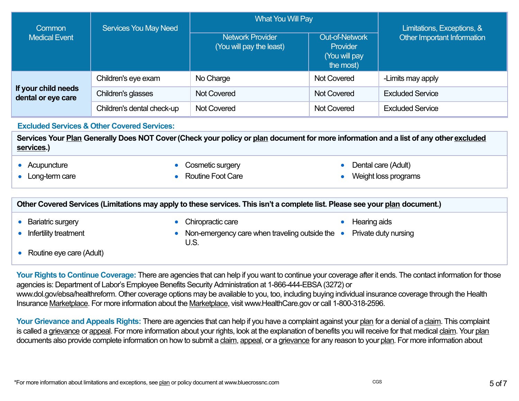| Common                                    | <b>Services You May Need</b> | <b>What You Will Pay</b>                            | Limitations, Exceptions, &                                      |                             |  |
|-------------------------------------------|------------------------------|-----------------------------------------------------|-----------------------------------------------------------------|-----------------------------|--|
| <b>Medical Event</b>                      |                              | <b>Network Provider</b><br>(You will pay the least) | <b>Out-of-Network</b><br>Provider<br>(You will pay<br>the most) | Other Important Information |  |
| If your child needs<br>dental or eye care | Children's eye exam          | No Charge                                           | <b>Not Covered</b>                                              | -Limits may apply           |  |
|                                           | Children's glasses           | <b>Not Covered</b>                                  | <b>Not Covered</b>                                              | <b>Excluded Service</b>     |  |
|                                           | Children's dental check-up   | <b>Not Covered</b>                                  | <b>Not Covered</b>                                              | <b>Excluded Service</b>     |  |

**Excluded Services & Other Covered Services:**

Services Your Plan Generally Does NOT Cover (Check your policy or plan document for more information and a list of any other excluded **services.)**

●**Acupuncture** 

●Long-term care

- 
- Cosmetic surgery Dental care (Adult)<br>● Routine Foot Care
	- Weight loss programs

| Other Covered Services (Limitations may apply to these services. This isn't a complete list. Please see your plan document.) |                                                                                      |  |                                      |  |
|------------------------------------------------------------------------------------------------------------------------------|--------------------------------------------------------------------------------------|--|--------------------------------------|--|
| <b>Bariatric surgery</b><br>• Infertility treatment                                                                          | Chiropractic care<br>Non-emergency care when traveling outside the $\bullet$<br>U.S. |  | Hearing aids<br>Private duty nursing |  |
| • Routine eye care (Adult)                                                                                                   |                                                                                      |  |                                      |  |

**Your Rights to Continue Coverage:** There are agencies that can help if you want to continue your coverage after it ends. The contact information for thoseagencies is: Department of Labor's Employee Benefits Security Administration at 1-866-444-EBSA (3272) or www.dol.gov/ebsa/healthreform. Other coverage options may be available to you, too, including buying individual insurance coverage through the HealthInsurance Marketplace. For more information about the Marketplace, visit www.HealthCare.gov or call 1-800-318-2596.

**Your Grievance and Appeals Rights:** There are agencies that can help if you have a complaint against your <u>plan</u> for a denial of a <u>claim</u>. This complaint is called a grievance or appeal. For more information about your rights, look at the explanation of benefits you will receive for that medical claim. Your plandocuments also provide complete information on how to submit a claim, appeal, or a grievance for any reason to your plan. For more information about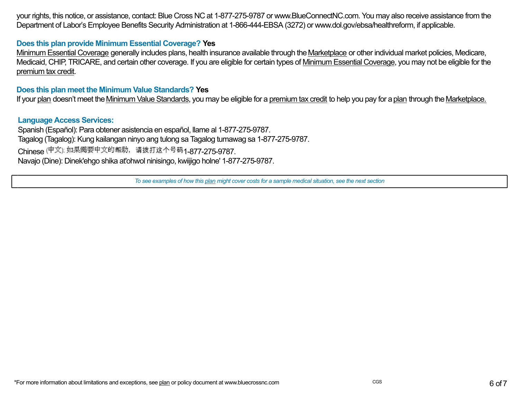your rights, this notice, or assistance, contact: Blue Cross NC at 1-877-275-9787 or www.BlueConnectNC.com. You may also receive assistance from theDepartment of Labor's Employee Benefits Security Administration at 1-866-444-EBSA (3272) or www.dol.gov/ebsa/healthreform, if applicable.

## **Does this plan provide Minimum Essential Coverage? Yes**

Minimum Essential Coverage generally includes plans, health insurance available through the <u>Marketplace</u> or other individual market policies, Medicare, Medicaid, CHIP, TRICARE, and certain other coverage. If you are eligible for certain types of <u>Minimum Essential Coverage,</u> you may not be eligible for the premium tax credit.

### **Does this plan meet the Minimum Value Standards? Yes**

If your <u>plan</u> doesn't meet the <u>Minimum Value Standards,</u> you may be eligible for a <u>premium tax credit</u> to help you pay for a <u>plan</u> through the <u>Marketplace.</u>

### **Language Access Services:**

 Spanish (Español): Para obtener asistencia en español, llame al 1-877-275-9787. Tagalog (Tagalog): Kung kailangan ninyo ang tulong sa Tagalog tumawag sa 1-877-275-9787.Chinese (中文): 如果需要中文的帮助,请拨打这个号码1-877-275-9787 Navajo (Dine): Dinek'ehgo shika at'ohwol ninisingo, kwiijigo holne' 1-877-275-9787.

*To see examples of how this plan might cover costs for a sample medical situation, see the next section*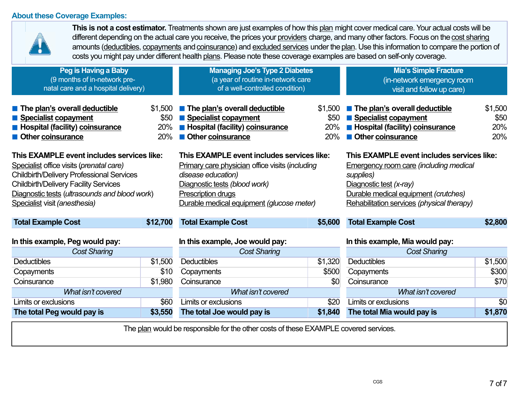# **About these Coverage Examples:**



**This is not a cost estimator.** Treatments shown are just examples of how this <u>plan</u> might cover medical care. Your actual costs will be different depending on the actual care you receive, the prices your <u>providers</u> charge, and many other factors. Focus on the <u>cost sharing</u> amounts (<u>deductibles, copayments</u> and <u>coinsurance)</u> and <u>excluded services</u> under the <u>plan</u>. Use this information to compare the portion of costs you might pay under different health plans. Please note these coverage examples are based on self-only coverage.

| Peg is Having a Baby<br>(9 months of in-network pre-<br>natal care and a hospital delivery)                                                                                                                                                                                  |                               | <b>Managing Joe's Type 2 Diabetes</b><br>(a year of routine in-network care<br>of a well-controlled condition)                                                                                                          |                               | <b>Mia's Simple Fracture</b><br>(in-network emergency room<br>visit and follow up care)                                                                                                                                   |                               |  |
|------------------------------------------------------------------------------------------------------------------------------------------------------------------------------------------------------------------------------------------------------------------------------|-------------------------------|-------------------------------------------------------------------------------------------------------------------------------------------------------------------------------------------------------------------------|-------------------------------|---------------------------------------------------------------------------------------------------------------------------------------------------------------------------------------------------------------------------|-------------------------------|--|
| The plan's overall deductible<br>Specialist copayment<br><b>E</b> Hospital (facility) coinsurance<br>Other coinsurance                                                                                                                                                       | \$1,500<br>\$50<br>20%<br>20% | The plan's overall deductible<br><b>Specialist copayment</b><br><b>Hospital (facility) coinsurance</b><br><b>Other coinsurance</b>                                                                                      | \$1,500<br>\$50<br>20%<br>20% | The plan's overall deductible<br><b>Specialist copayment</b><br><b>E</b> Hospital (facility) coinsurance<br><b>Other coinsurance</b>                                                                                      | \$1,500<br>\$50<br>20%<br>20% |  |
| This EXAMPLE event includes services like:<br>Specialist office visits (prenatal care)<br><b>Childbirth/Delivery Professional Services</b><br><b>Childbirth/Delivery Facility Services</b><br>Diagnostic tests (ultrasounds and blood work)<br>Specialist visit (anesthesia) |                               | This EXAMPLE event includes services like:<br>Primary care physician office visits (including<br>disease education)<br>Diagnostic tests (blood work)<br>Prescription drugs<br>Durable medical equipment (glucose meter) |                               | This EXAMPLE event includes services like:<br><b>Emergency room care (including medical</b><br>supplies)<br>Diagnostic test (x-ray)<br>Durable medical equipment (crutches)<br>Rehabilitation services (physical therapy) |                               |  |
| <b>Total Example Cost</b>                                                                                                                                                                                                                                                    | \$12,700                      | <b>Total Example Cost</b>                                                                                                                                                                                               | \$5,600                       | <b>Total Example Cost</b>                                                                                                                                                                                                 | \$2,800                       |  |
| In this example, Peg would pay:<br><b>Cost Sharing</b>                                                                                                                                                                                                                       |                               | In this example, Joe would pay:<br><b>Cost Sharing</b>                                                                                                                                                                  |                               | In this example, Mia would pay:<br><b>Cost Sharing</b>                                                                                                                                                                    |                               |  |
| <b>Deductibles</b>                                                                                                                                                                                                                                                           | \$1,500                       | <b>Deductibles</b>                                                                                                                                                                                                      | \$1,320                       | <b>Deductibles</b>                                                                                                                                                                                                        | \$1,500                       |  |
| Copayments                                                                                                                                                                                                                                                                   | \$10                          | Copayments                                                                                                                                                                                                              | \$500                         | Copayments                                                                                                                                                                                                                | \$300                         |  |
| Coinsurance                                                                                                                                                                                                                                                                  | \$1,980                       | Coinsurance                                                                                                                                                                                                             | \$0                           | Coinsurance                                                                                                                                                                                                               |                               |  |
| What isn't covered                                                                                                                                                                                                                                                           |                               | What isn't covered                                                                                                                                                                                                      |                               | What isn't covered                                                                                                                                                                                                        |                               |  |
| Limits or exclusions                                                                                                                                                                                                                                                         | \$60                          | Limits or exclusions                                                                                                                                                                                                    | \$20                          | Limits or exclusions                                                                                                                                                                                                      | \$0                           |  |
| The total Peg would pay is                                                                                                                                                                                                                                                   | \$3,550                       | The total Joe would pay is                                                                                                                                                                                              | \$1,840                       | The total Mia would pay is                                                                                                                                                                                                | \$1,870                       |  |

The plan would be responsible for the other costs of these EXAMPLE covered services.